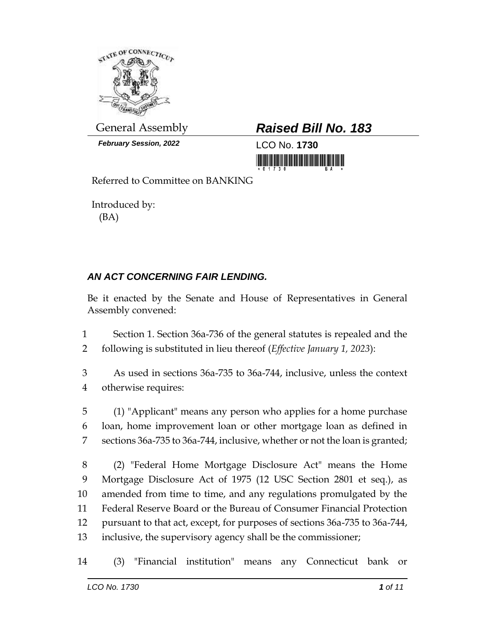

*February Session, 2022* LCO No. **1730**

## General Assembly *Raised Bill No. 183*

Referred to Committee on BANKING

Introduced by: (BA)

## *AN ACT CONCERNING FAIR LENDING.*

Be it enacted by the Senate and House of Representatives in General Assembly convened:

 Section 1. Section 36a-736 of the general statutes is repealed and the following is substituted in lieu thereof (*Effective January 1, 2023*):

 As used in sections 36a-735 to 36a-744, inclusive, unless the context otherwise requires:

 (1) "Applicant" means any person who applies for a home purchase loan, home improvement loan or other mortgage loan as defined in sections 36a-735 to 36a-744, inclusive, whether or not the loan is granted;

 (2) "Federal Home Mortgage Disclosure Act" means the Home Mortgage Disclosure Act of 1975 (12 USC Section 2801 et seq.), as amended from time to time, and any regulations promulgated by the Federal Reserve Board or the Bureau of Consumer Financial Protection pursuant to that act, except, for purposes of sections 36a-735 to 36a-744, inclusive, the supervisory agency shall be the commissioner;

(3) "Financial institution" means any Connecticut bank or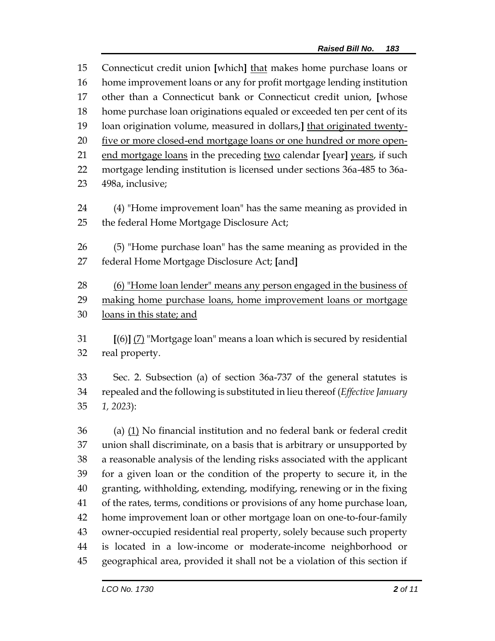Connecticut credit union **[**which**]** that makes home purchase loans or home improvement loans or any for profit mortgage lending institution other than a Connecticut bank or Connecticut credit union, **[**whose home purchase loan originations equaled or exceeded ten per cent of its loan origination volume, measured in dollars,**]** that originated twenty-20 five or more closed-end mortgage loans or one hundred or more open- end mortgage loans in the preceding two calendar **[**year**]** years, if such mortgage lending institution is licensed under sections 36a-485 to 36a-498a, inclusive;

- (4) "Home improvement loan" has the same meaning as provided in 25 the federal Home Mortgage Disclosure Act;
- (5) "Home purchase loan" has the same meaning as provided in the federal Home Mortgage Disclosure Act; **[**and**]**

 (6) "Home loan lender" means any person engaged in the business of making home purchase loans, home improvement loans or mortgage loans in this state; and

 **[**(6)**]** (7) "Mortgage loan" means a loan which is secured by residential real property.

 Sec. 2. Subsection (a) of section 36a-737 of the general statutes is repealed and the following is substituted in lieu thereof (*Effective January 1, 2023*):

 (a)  $(1)$  No financial institution and no federal bank or federal credit union shall discriminate, on a basis that is arbitrary or unsupported by a reasonable analysis of the lending risks associated with the applicant for a given loan or the condition of the property to secure it, in the granting, withholding, extending, modifying, renewing or in the fixing of the rates, terms, conditions or provisions of any home purchase loan, home improvement loan or other mortgage loan on one-to-four-family owner-occupied residential real property, solely because such property is located in a low-income or moderate-income neighborhood or geographical area, provided it shall not be a violation of this section if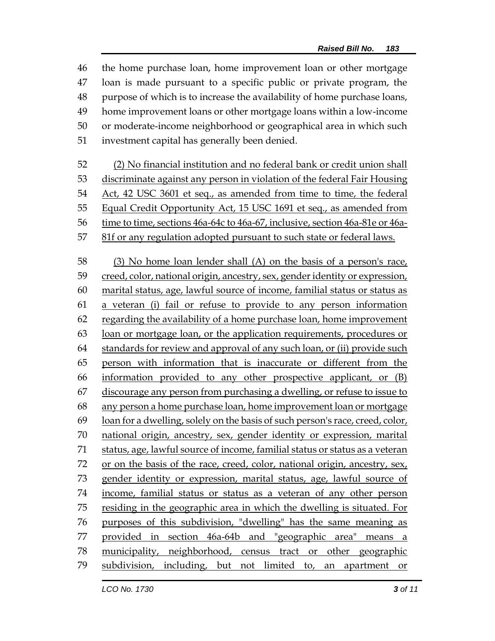the home purchase loan, home improvement loan or other mortgage loan is made pursuant to a specific public or private program, the purpose of which is to increase the availability of home purchase loans, home improvement loans or other mortgage loans within a low-income or moderate-income neighborhood or geographical area in which such investment capital has generally been denied.

 (2) No financial institution and no federal bank or credit union shall discriminate against any person in violation of the federal Fair Housing Act, 42 USC 3601 et seq., as amended from time to time, the federal Equal Credit Opportunity Act, 15 USC 1691 et seq., as amended from time to time, sections 46a-64c to 46a-67, inclusive, section 46a-81e or 46a-

81f or any regulation adopted pursuant to such state or federal laws.

 (3) No home loan lender shall (A) on the basis of a person's race, creed, color, national origin, ancestry, sex, gender identity or expression, marital status, age, lawful source of income, familial status or status as a veteran (i) fail or refuse to provide to any person information regarding the availability of a home purchase loan, home improvement loan or mortgage loan, or the application requirements, procedures or standards for review and approval of any such loan, or (ii) provide such person with information that is inaccurate or different from the information provided to any other prospective applicant, or (B) discourage any person from purchasing a dwelling, or refuse to issue to any person a home purchase loan, home improvement loan or mortgage loan for a dwelling, solely on the basis of such person's race, creed, color, 70 national origin, ancestry, sex, gender identity or expression, marital status, age, lawful source of income, familial status or status as a veteran 72 or on the basis of the race, creed, color, national origin, ancestry,  $sex_{1}$  gender identity or expression, marital status, age, lawful source of income, familial status or status as a veteran of any other person residing in the geographic area in which the dwelling is situated. For purposes of this subdivision, "dwelling" has the same meaning as provided in section 46a-64b and "geographic area" means a municipality, neighborhood, census tract or other geographic subdivision, including, but not limited to, an apartment or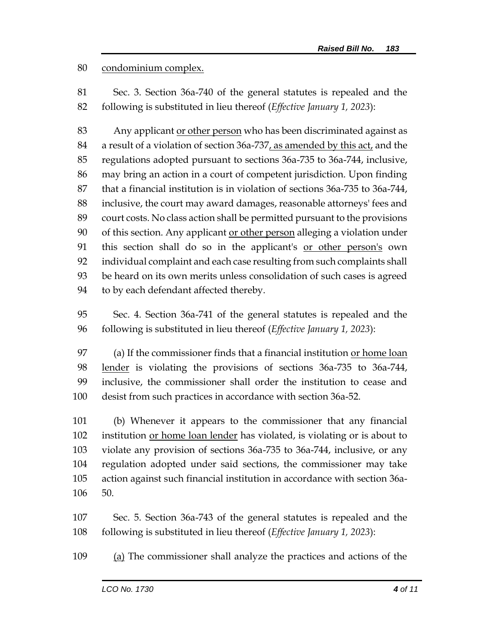condominium complex.

 Sec. 3. Section 36a-740 of the general statutes is repealed and the following is substituted in lieu thereof (*Effective January 1, 2023*):

 Any applicant or other person who has been discriminated against as 84 a result of a violation of section 36a-737, as amended by this act, and the regulations adopted pursuant to sections 36a-735 to 36a-744, inclusive, may bring an action in a court of competent jurisdiction. Upon finding that a financial institution is in violation of sections 36a-735 to 36a-744, inclusive, the court may award damages, reasonable attorneys' fees and court costs. No class action shall be permitted pursuant to the provisions 90 of this section. Any applicant or other person alleging a violation under 91 this section shall do so in the applicant's or other person's own individual complaint and each case resulting from such complaints shall be heard on its own merits unless consolidation of such cases is agreed to by each defendant affected thereby.

 Sec. 4. Section 36a-741 of the general statutes is repealed and the following is substituted in lieu thereof (*Effective January 1, 2023*):

 (a) If the commissioner finds that a financial institution or home loan 98 lender is violating the provisions of sections 36a-735 to 36a-744, inclusive, the commissioner shall order the institution to cease and desist from such practices in accordance with section 36a-52.

 (b) Whenever it appears to the commissioner that any financial 102 institution or home loan lender has violated, is violating or is about to violate any provision of sections 36a-735 to 36a-744, inclusive, or any regulation adopted under said sections, the commissioner may take action against such financial institution in accordance with section 36a-50.

 Sec. 5. Section 36a-743 of the general statutes is repealed and the following is substituted in lieu thereof (*Effective January 1, 2023*):

(a) The commissioner shall analyze the practices and actions of the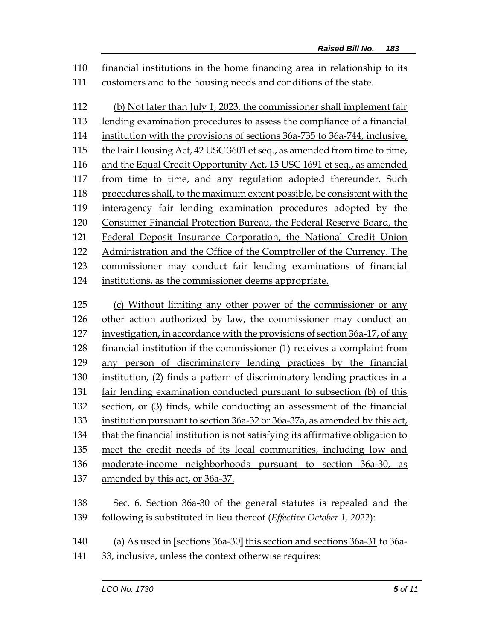financial institutions in the home financing area in relationship to its customers and to the housing needs and conditions of the state.

 (b) Not later than July 1, 2023, the commissioner shall implement fair lending examination procedures to assess the compliance of a financial institution with the provisions of sections 36a-735 to 36a-744, inclusive, the Fair Housing Act, 42 USC 3601 et seq., as amended from time to time, and the Equal Credit Opportunity Act, 15 USC 1691 et seq., as amended from time to time, and any regulation adopted thereunder. Such procedures shall, to the maximum extent possible, be consistent with the interagency fair lending examination procedures adopted by the Consumer Financial Protection Bureau, the Federal Reserve Board, the Federal Deposit Insurance Corporation, the National Credit Union Administration and the Office of the Comptroller of the Currency. The commissioner may conduct fair lending examinations of financial institutions, as the commissioner deems appropriate. (c) Without limiting any other power of the commissioner or any

 other action authorized by law, the commissioner may conduct an investigation, in accordance with the provisions of section 36a-17, of any financial institution if the commissioner (1) receives a complaint from any person of discriminatory lending practices by the financial institution, (2) finds a pattern of discriminatory lending practices in a fair lending examination conducted pursuant to subsection (b) of this section, or (3) finds, while conducting an assessment of the financial institution pursuant to section 36a-32 or 36a-37a, as amended by this act, that the financial institution is not satisfying its affirmative obligation to meet the credit needs of its local communities, including low and moderate-income neighborhoods pursuant to section 36a-30, as 137 amended by this act, or 36a-37.

 Sec. 6. Section 36a-30 of the general statutes is repealed and the following is substituted in lieu thereof (*Effective October 1, 2022*):

- (a) As used in **[**sections 36a-30**]** this section and sections 36a-31 to 36a-
- 33, inclusive, unless the context otherwise requires: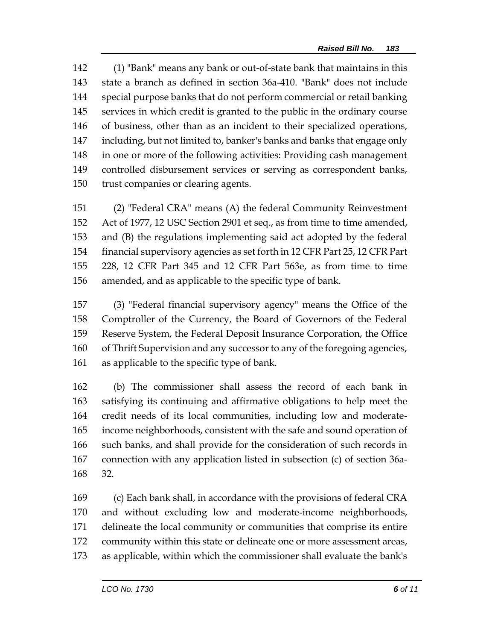(1) "Bank" means any bank or out-of-state bank that maintains in this state a branch as defined in section 36a-410. "Bank" does not include special purpose banks that do not perform commercial or retail banking services in which credit is granted to the public in the ordinary course of business, other than as an incident to their specialized operations, including, but not limited to, banker's banks and banks that engage only in one or more of the following activities: Providing cash management controlled disbursement services or serving as correspondent banks, trust companies or clearing agents.

 (2) "Federal CRA" means (A) the federal Community Reinvestment Act of 1977, 12 USC Section 2901 et seq., as from time to time amended, and (B) the regulations implementing said act adopted by the federal financial supervisory agencies as set forth in 12 CFR Part 25, 12 CFR Part 228, 12 CFR Part 345 and 12 CFR Part 563e, as from time to time amended, and as applicable to the specific type of bank.

 (3) "Federal financial supervisory agency" means the Office of the Comptroller of the Currency, the Board of Governors of the Federal Reserve System, the Federal Deposit Insurance Corporation, the Office of Thrift Supervision and any successor to any of the foregoing agencies, as applicable to the specific type of bank.

 (b) The commissioner shall assess the record of each bank in satisfying its continuing and affirmative obligations to help meet the credit needs of its local communities, including low and moderate- income neighborhoods, consistent with the safe and sound operation of such banks, and shall provide for the consideration of such records in connection with any application listed in subsection (c) of section 36a-32.

 (c) Each bank shall, in accordance with the provisions of federal CRA and without excluding low and moderate-income neighborhoods, delineate the local community or communities that comprise its entire community within this state or delineate one or more assessment areas, as applicable, within which the commissioner shall evaluate the bank's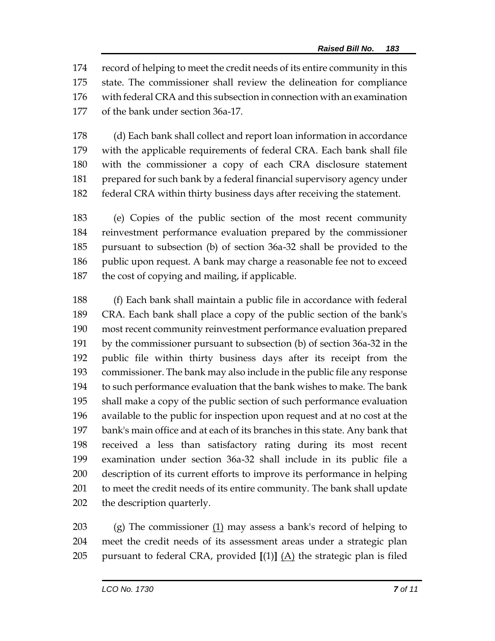record of helping to meet the credit needs of its entire community in this state. The commissioner shall review the delineation for compliance with federal CRA and this subsection in connection with an examination of the bank under section 36a-17.

 (d) Each bank shall collect and report loan information in accordance with the applicable requirements of federal CRA. Each bank shall file with the commissioner a copy of each CRA disclosure statement prepared for such bank by a federal financial supervisory agency under federal CRA within thirty business days after receiving the statement.

 (e) Copies of the public section of the most recent community reinvestment performance evaluation prepared by the commissioner pursuant to subsection (b) of section 36a-32 shall be provided to the 186 public upon request. A bank may charge a reasonable fee not to exceed the cost of copying and mailing, if applicable.

 (f) Each bank shall maintain a public file in accordance with federal CRA. Each bank shall place a copy of the public section of the bank's most recent community reinvestment performance evaluation prepared by the commissioner pursuant to subsection (b) of section 36a-32 in the public file within thirty business days after its receipt from the commissioner. The bank may also include in the public file any response to such performance evaluation that the bank wishes to make. The bank shall make a copy of the public section of such performance evaluation available to the public for inspection upon request and at no cost at the bank's main office and at each of its branches in this state. Any bank that received a less than satisfactory rating during its most recent examination under section 36a-32 shall include in its public file a description of its current efforts to improve its performance in helping to meet the credit needs of its entire community. The bank shall update the description quarterly.

203 (g) The commissioner  $(1)$  may assess a bank's record of helping to meet the credit needs of its assessment areas under a strategic plan 205 pursuant to federal CRA, provided  $[(1)]$   $(A)$  the strategic plan is filed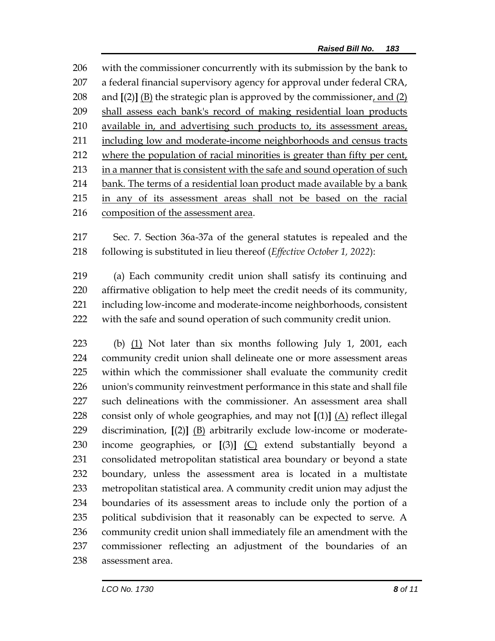with the commissioner concurrently with its submission by the bank to a federal financial supervisory agency for approval under federal CRA, 208 and  $[(2)]$  (B) the strategic plan is approved by the commissioner, and  $(2)$  shall assess each bank's record of making residential loan products available in, and advertising such products to, its assessment areas, including low and moderate-income neighborhoods and census tracts 212 where the population of racial minorities is greater than fifty per cent, 213 in a manner that is consistent with the safe and sound operation of such bank. The terms of a residential loan product made available by a bank in any of its assessment areas shall not be based on the racial composition of the assessment area.

 Sec. 7. Section 36a-37a of the general statutes is repealed and the following is substituted in lieu thereof (*Effective October 1, 2022*):

 (a) Each community credit union shall satisfy its continuing and affirmative obligation to help meet the credit needs of its community, including low-income and moderate-income neighborhoods, consistent with the safe and sound operation of such community credit union.

 (b) (1) Not later than six months following July 1, 2001, each community credit union shall delineate one or more assessment areas within which the commissioner shall evaluate the community credit union's community reinvestment performance in this state and shall file such delineations with the commissioner. An assessment area shall consist only of whole geographies, and may not **[**(1)**]** (A) reflect illegal discrimination, **[**(2)**]** (B) arbitrarily exclude low-income or moderate- income geographies, or **[**(3)**]** (C) extend substantially beyond a consolidated metropolitan statistical area boundary or beyond a state boundary, unless the assessment area is located in a multistate metropolitan statistical area. A community credit union may adjust the boundaries of its assessment areas to include only the portion of a political subdivision that it reasonably can be expected to serve. A community credit union shall immediately file an amendment with the commissioner reflecting an adjustment of the boundaries of an assessment area.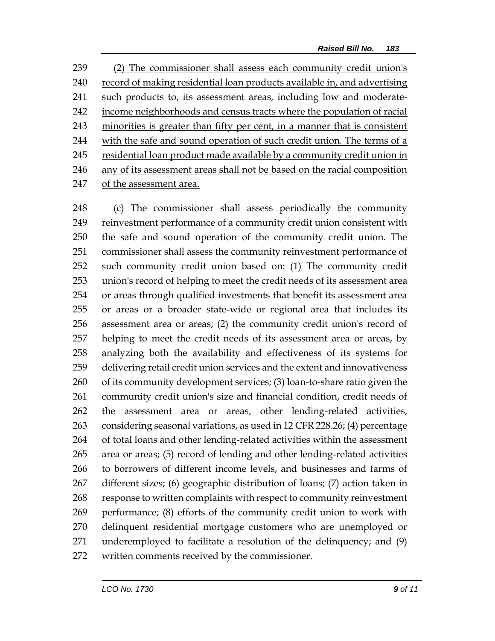(2) The commissioner shall assess each community credit union's record of making residential loan products available in, and advertising such products to, its assessment areas, including low and moderate- income neighborhoods and census tracts where the population of racial minorities is greater than fifty per cent, in a manner that is consistent with the safe and sound operation of such credit union. The terms of a 245 residential loan product made available by a community credit union in any of its assessment areas shall not be based on the racial composition of the assessment area.

 (c) The commissioner shall assess periodically the community reinvestment performance of a community credit union consistent with the safe and sound operation of the community credit union. The commissioner shall assess the community reinvestment performance of such community credit union based on: (1) The community credit union's record of helping to meet the credit needs of its assessment area or areas through qualified investments that benefit its assessment area or areas or a broader state-wide or regional area that includes its assessment area or areas; (2) the community credit union's record of helping to meet the credit needs of its assessment area or areas, by analyzing both the availability and effectiveness of its systems for delivering retail credit union services and the extent and innovativeness of its community development services; (3) loan-to-share ratio given the community credit union's size and financial condition, credit needs of the assessment area or areas, other lending-related activities, considering seasonal variations, as used in 12 CFR 228.26; (4) percentage of total loans and other lending-related activities within the assessment area or areas; (5) record of lending and other lending-related activities to borrowers of different income levels, and businesses and farms of different sizes; (6) geographic distribution of loans; (7) action taken in response to written complaints with respect to community reinvestment performance; (8) efforts of the community credit union to work with delinquent residential mortgage customers who are unemployed or underemployed to facilitate a resolution of the delinquency; and (9) written comments received by the commissioner.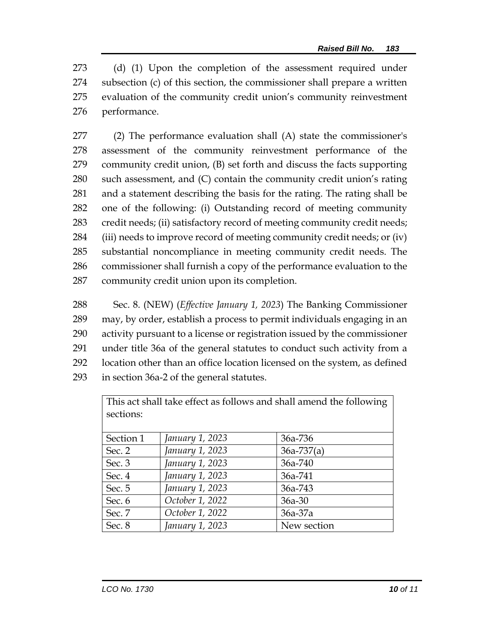(d) (1) Upon the completion of the assessment required under subsection (c) of this section, the commissioner shall prepare a written evaluation of the community credit union's community reinvestment performance.

 (2) The performance evaluation shall (A) state the commissioner's assessment of the community reinvestment performance of the community credit union, (B) set forth and discuss the facts supporting such assessment, and (C) contain the community credit union's rating and a statement describing the basis for the rating. The rating shall be one of the following: (i) Outstanding record of meeting community credit needs; (ii) satisfactory record of meeting community credit needs; (iii) needs to improve record of meeting community credit needs; or (iv) substantial noncompliance in meeting community credit needs. The commissioner shall furnish a copy of the performance evaluation to the community credit union upon its completion.

 Sec. 8. (NEW) (*Effective January 1, 2023*) The Banking Commissioner may, by order, establish a process to permit individuals engaging in an activity pursuant to a license or registration issued by the commissioner under title 36a of the general statutes to conduct such activity from a location other than an office location licensed on the system, as defined in section 36a-2 of the general statutes.

This act shall take effect as follows and shall amend the following sections:

| Section 1 | January 1, 2023 | 36a-736        |
|-----------|-----------------|----------------|
| Sec. 2    | January 1, 2023 | $36a - 737(a)$ |
| Sec. 3    | January 1, 2023 | 36a-740        |
| Sec. 4    | January 1, 2023 | 36a-741        |
| Sec. 5    | January 1, 2023 | 36a-743        |
| Sec. 6    | October 1, 2022 | $36a-30$       |
| Sec. 7    | October 1, 2022 | $36a-37a$      |
| Sec. 8    | January 1, 2023 | New section    |